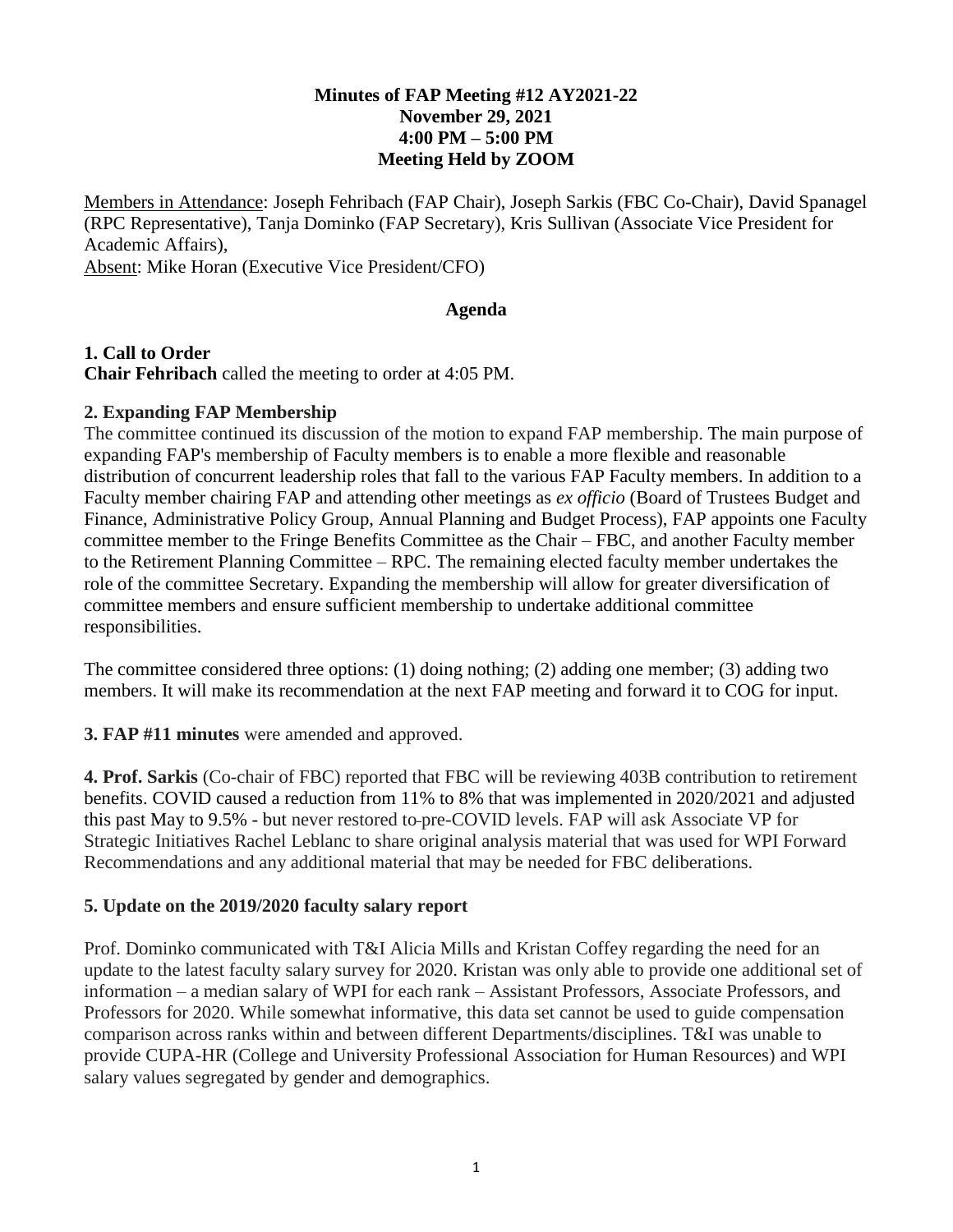### **Minutes of FAP Meeting #12 AY2021-22 November 29, 2021 4:00 PM – 5:00 PM Meeting Held by ZOOM**

Members in Attendance: Joseph Fehribach (FAP Chair), Joseph Sarkis (FBC Co-Chair), David Spanagel (RPC Representative), Tanja Dominko (FAP Secretary), Kris Sullivan (Associate Vice President for Academic Affairs),

Absent: Mike Horan (Executive Vice President/CFO)

#### **Agenda**

**1. Call to Order Chair Fehribach** called the meeting to order at 4:05 PM.

#### **2. Expanding FAP Membership**

The committee continued its discussion of the motion to expand FAP membership. The main purpose of expanding FAP's membership of Faculty members is to enable a more flexible and reasonable distribution of concurrent leadership roles that fall to the various FAP Faculty members. In addition to a Faculty member chairing FAP and attending other meetings as *ex officio* (Board of Trustees Budget and Finance, Administrative Policy Group, Annual Planning and Budget Process), FAP appoints one Faculty committee member to the Fringe Benefits Committee as the Chair – FBC, and another Faculty member to the Retirement Planning Committee – RPC. The remaining elected faculty member undertakes the role of the committee Secretary. Expanding the membership will allow for greater diversification of committee members and ensure sufficient membership to undertake additional committee responsibilities.

The committee considered three options: (1) doing nothing; (2) adding one member; (3) adding two members. It will make its recommendation at the next FAP meeting and forward it to COG for input.

**3. FAP #11 minutes** were amended and approved.

**4. Prof. Sarkis** (Co-chair of FBC) reported that FBC will be reviewing 403B contribution to retirement benefits. COVID caused a reduction from 11% to 8% that was implemented in 2020/2021 and adjusted this past May to 9.5% - but never restored to pre-COVID levels. FAP will ask Associate VP for Strategic Initiatives Rachel Leblanc to share original analysis material that was used for WPI Forward Recommendations and any additional material that may be needed for FBC deliberations.

## **5. Update on the 2019/2020 faculty salary report**

Prof. Dominko communicated with T&I Alicia Mills and Kristan Coffey regarding the need for an update to the latest faculty salary survey for 2020. Kristan was only able to provide one additional set of information – a median salary of WPI for each rank – Assistant Professors, Associate Professors, and Professors for 2020. While somewhat informative, this data set cannot be used to guide compensation comparison across ranks within and between different Departments/disciplines. T&I was unable to provide CUPA-HR (College and University Professional Association for Human Resources) and WPI salary values segregated by gender and demographics.